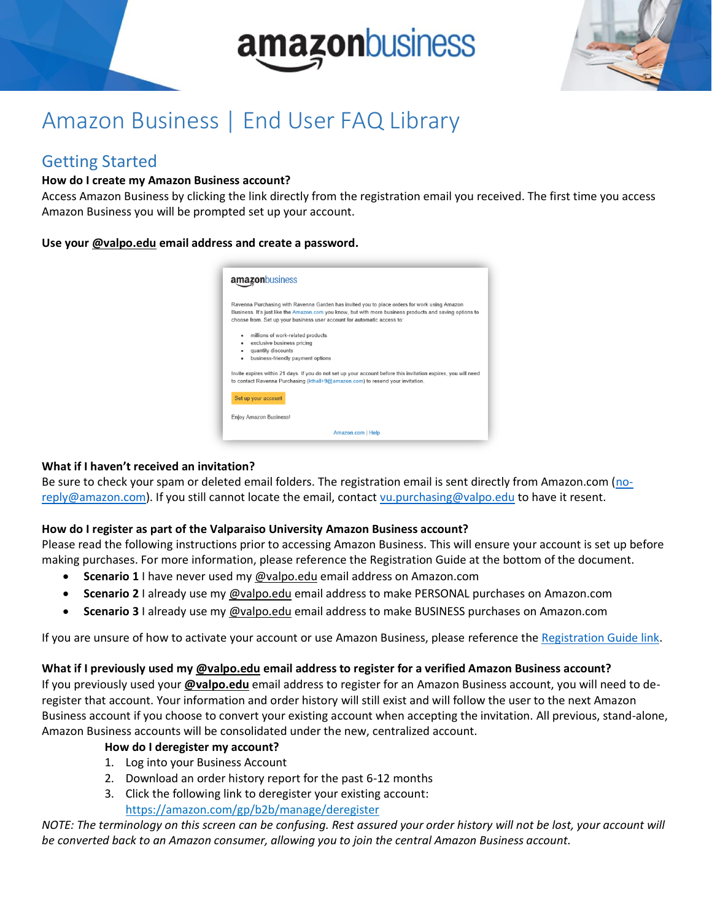



## Amazon Business | End User FAQ Library

## Getting Started

#### **How do I create my Amazon Business account?**

Access Amazon Business by clicking the link directly from the registration email you received. The first time you access Amazon Business you will be prompted set up your account.

#### **Use your @valpo.edu email address and create a password.**



#### **What if I haven't received an invitation?**

Be sure to check your spam or deleted email folders. The registration email is sent directly from Amazon.com [\(no](mailto:no-reply@amazon.com)[reply@amazon.com\)](mailto:no-reply@amazon.com). If you still cannot locate the email, contact [vu.purchasing@valpo.edu](mailto:vu.purchasing@valpo.edu) to have it resent.

#### **How do I register as part of the Valparaiso University Amazon Business account?**

Please read the following instructions prior to accessing Amazon Business. This will ensure your account is set up before making purchases. For more information, please reference the Registration Guide at the bottom of the document.

- **Scenario 1** I have never used my @valpo.edu email address on Amazon.com
- **Scenario 2** I already use my @valpo.edu email address to make PERSONAL purchases on Amazon.com
- **Scenario 3** I already use my @valpo.edu email address to make BUSINESS purchases on Amazon.com

If you are unsure of how to activate your account or use Amazon Business, please reference the Registration Guide link.

#### **What if I previously used my @valpo.edu email address to register for a verified Amazon Business account?**

If you previously used your **@valpo.edu** email address to register for an Amazon Business account, you will need to deregister that account. Your information and order history will still exist and will follow the user to the next Amazon Business account if you choose to convert your existing account when accepting the invitation. All previous, stand-alone, Amazon Business accounts will be consolidated under the new, centralized account.

#### **How do I deregister my account?**

- 1. Log into your Business Account
- 2. Download an order history report for the past 6-12 months
- 3. Click the following link to deregister your existing account: <https://amazon.com/gp/b2b/manage/deregister>

*NOTE: The terminology on this screen can be confusing. Rest assured your order history will not be lost, your account will be converted back to an Amazon consumer, allowing you to join the central Amazon Business account.*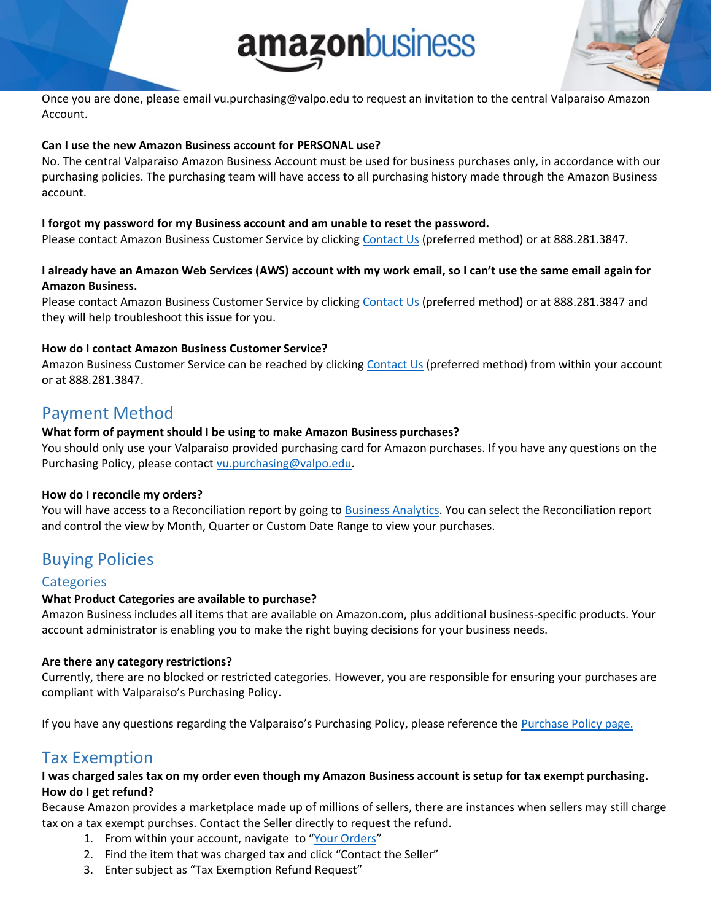# amazonbusiness



Once you are done, please email vu.purchasing@valpo.edu to request an invitation to the central Valparaiso Amazon Account.

#### **Can I use the new Amazon Business account for PERSONAL use?**

No. The central Valparaiso Amazon Business Account must be used for business purchases only, in accordance with our purchasing policies. The purchasing team will have access to all purchasing history made through the Amazon Business account.

#### **I forgot my password for my Business account and am unable to reset the password.**

Please contact Amazon Business Customer Service by clicking [Contact Us](https://www.amazon.com/gp/help/customer/contact-us?ie=UTF8&ref=bfooter_cu) (preferred method) or at 888.281.3847.

#### **I already have an Amazon Web Services (AWS) account with my work email, so I can't use the same email again for Amazon Business.**

Please contact Amazon Business Customer Service by clicking [Contact Us](https://www.amazon.com/gp/help/customer/contact-us?ie=UTF8&ref=bfooter_cu) (preferred method) or at 888.281.3847 and they will help troubleshoot this issue for you.

#### **How do I contact Amazon Business Customer Service?**

Amazon Business Customer Service can be reached by clickin[g Contact Us](https://www.amazon.com/gp/help/customer/contact-us?ie=UTF8&ref=bfooter_cu) (preferred method) from within your account or at 888.281.3847.

## Payment Method

#### **What form of payment should I be using to make Amazon Business purchases?**

You should only use your Valparaiso provided purchasing card for Amazon purchases. If you have any questions on the Purchasing Policy, please contact [vu.purchasing@valpo.edu.](mailto:vu.purchasing@valpo.edu)

#### **How do I reconcile my orders?**

You will have access to a Reconciliation report by going to **Business Analytics**. You can select the Reconciliation report and control the view by Month, Quarter or Custom Date Range to view your purchases.

## Buying Policies

#### **Categories**

#### **What Product Categories are available to purchase?**

Amazon Business includes all items that are available on Amazon.com, plus additional business-specific products. Your account administrator is enabling you to make the right buying decisions for your business needs.

#### **Are there any category restrictions?**

Currently, there are no blocked or restricted categories. However, you are responsible for ensuring your purchases are compliant with Valparaiso's Purchasing Policy.

If you have any questions regarding the Valparaiso's Purchasing Policy, please reference the [Purchase Policy page.](https://www.valpo.edu/procurement/policies-and-procedures/)

## Tax Exemption

#### **I was charged sales tax on my order even though my Amazon Business account is setup for tax exempt purchasing. How do I get refund?**

Because Amazon provides a marketplace made up of millions of sellers, there are instances when sellers may still charge tax on a tax exempt purchses. Contact the Seller directly to request the refund.

- 1. From within your account, navigate to "[Your Orders](https://www.amazon.com/gp/css/order-history/ref=nav_youraccount_bnav_ya_ad_orders)"
- 2. Find the item that was charged tax and click "Contact the Seller"
- 3. Enter subject as "Tax Exemption Refund Request"